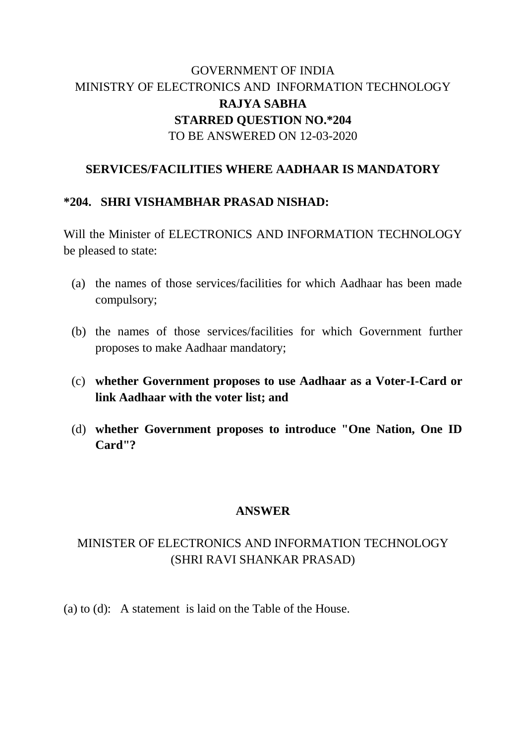## GOVERNMENT OF INDIA MINISTRY OF ELECTRONICS AND INFORMATION TECHNOLOGY **RAJYA SABHA STARRED QUESTION NO.\*204** TO BE ANSWERED ON 12-03-2020

#### **SERVICES/FACILITIES WHERE AADHAAR IS MANDATORY**

#### **\*204. SHRI VISHAMBHAR PRASAD NISHAD:**

Will the Minister of ELECTRONICS AND INFORMATION TECHNOLOGY be pleased to state:

- (a) the names of those services/facilities for which Aadhaar has been made compulsory;
- (b) the names of those services/facilities for which Government further proposes to make Aadhaar mandatory;
- (c) **whether Government proposes to use Aadhaar as a Voter-I-Card or link Aadhaar with the voter list; and**
- (d) **whether Government proposes to introduce "One Nation, One ID Card"?**

#### **ANSWER**

### MINISTER OF ELECTRONICS AND INFORMATION TECHNOLOGY (SHRI RAVI SHANKAR PRASAD)

(a) to (d): A statement is laid on the Table of the House.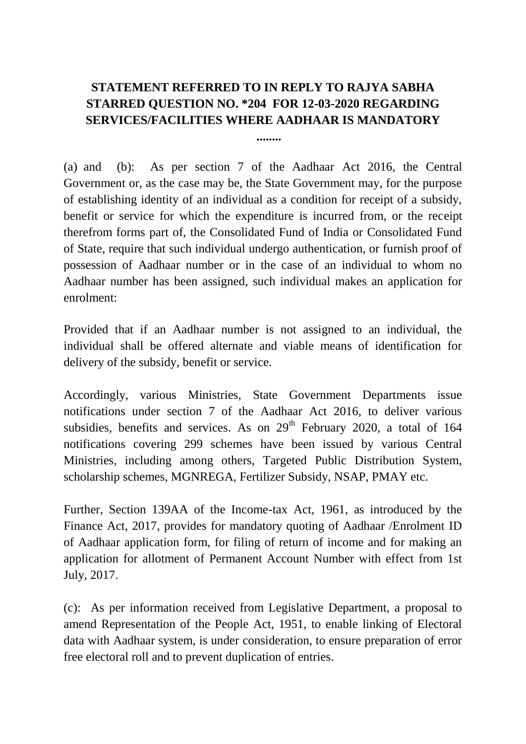# **STATEMENT REFERRED TO IN REPLY TO RAJYA SABHA STARRED QUESTION NO. \*204 FOR 12-03-2020 REGARDING SERVICES/FACILITIES WHERE AADHAAR IS MANDATORY**

**........**

(a) and (b): As per section 7 of the Aadhaar Act 2016, the Central Government or, as the case may be, the State Government may, for the purpose of establishing identity of an individual as a condition for receipt of a subsidy, benefit or service for which the expenditure is incurred from, or the receipt therefrom forms part of, the Consolidated Fund of India or Consolidated Fund of State, require that such individual undergo authentication, or furnish proof of possession of Aadhaar number or in the case of an individual to whom no Aadhaar number has been assigned, such individual makes an application for enrolment:

Provided that if an Aadhaar number is not assigned to an individual, the individual shall be offered alternate and viable means of identification for delivery of the subsidy, benefit or service.

Accordingly, various Ministries, State Government Departments issue notifications under section 7 of the Aadhaar Act 2016, to deliver various subsidies, benefits and services. As on  $29<sup>th</sup>$  February 2020, a total of 164 notifications covering 299 schemes have been issued by various Central Ministries, including among others, Targeted Public Distribution System, scholarship schemes, MGNREGA, Fertilizer Subsidy, NSAP, PMAY etc.

Further, Section 139AA of the Income-tax Act, 1961, as introduced by the Finance Act, 2017, provides for mandatory quoting of Aadhaar /Enrolment ID of Aadhaar application form, for filing of return of income and for making an application for allotment of Permanent Account Number with effect from 1st July, 2017.

(c): As per information received from Legislative Department, a proposal to amend Representation of the People Act, 1951, to enable linking of Electoral data with Aadhaar system, is under consideration, to ensure preparation of error free electoral roll and to prevent duplication of entries.